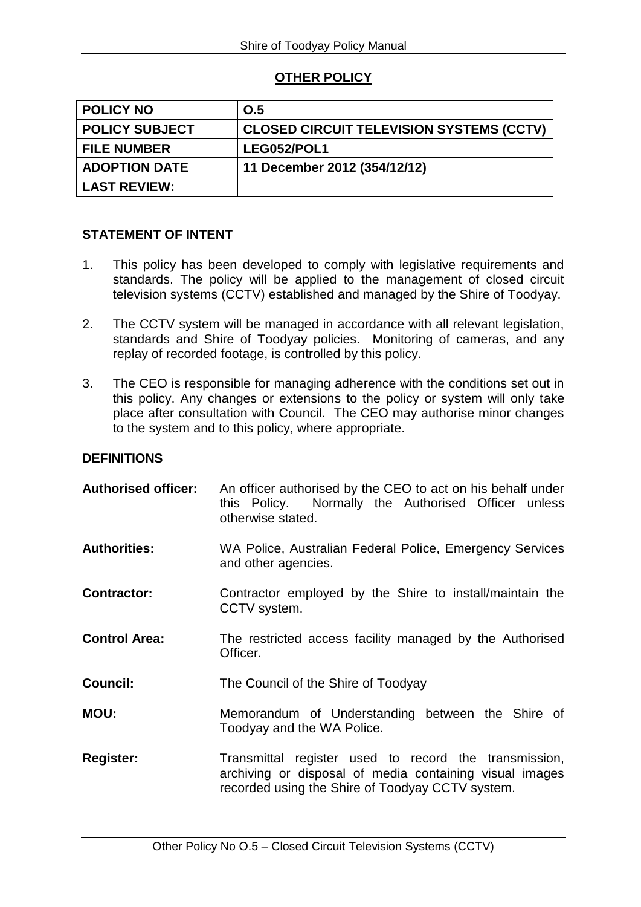# **OTHER POLICY**

| <b>POLICY NO</b>      | O.5                                             |
|-----------------------|-------------------------------------------------|
| <b>POLICY SUBJECT</b> | <b>CLOSED CIRCUIT TELEVISION SYSTEMS (CCTV)</b> |
| <b>FILE NUMBER</b>    | LEG052/POL1                                     |
| <b>ADOPTION DATE</b>  | 11 December 2012 (354/12/12)                    |
| <b>LAST REVIEW:</b>   |                                                 |

#### **STATEMENT OF INTENT**

- 1. This policy has been developed to comply with legislative requirements and standards. The policy will be applied to the management of closed circuit television systems (CCTV) established and managed by the Shire of Toodyay.
- 2. The CCTV system will be managed in accordance with all relevant legislation, standards and Shire of Toodyay policies. Monitoring of cameras, and any replay of recorded footage, is controlled by this policy.
- 3. The CEO is responsible for managing adherence with the conditions set out in this policy. Any changes or extensions to the policy or system will only take place after consultation with Council. The CEO may authorise minor changes to the system and to this policy, where appropriate.

## **DEFINITIONS**

| <b>Authorised officer:</b> | An officer authorised by the CEO to act on his behalf under<br>this Policy. Normally the Authorised Officer unless<br>otherwise stated.                              |
|----------------------------|----------------------------------------------------------------------------------------------------------------------------------------------------------------------|
| <b>Authorities:</b>        | WA Police, Australian Federal Police, Emergency Services<br>and other agencies.                                                                                      |
| <b>Contractor:</b>         | Contractor employed by the Shire to install/maintain the<br>CCTV system.                                                                                             |
| <b>Control Area:</b>       | The restricted access facility managed by the Authorised<br>Officer.                                                                                                 |
| <b>Council:</b>            | The Council of the Shire of Toodyay                                                                                                                                  |
| <b>MOU:</b>                | Memorandum of Understanding between the Shire of<br>Toodyay and the WA Police.                                                                                       |
| <b>Register:</b>           | Transmittal register used to record the transmission,<br>archiving or disposal of media containing visual images<br>recorded using the Shire of Toodyay CCTV system. |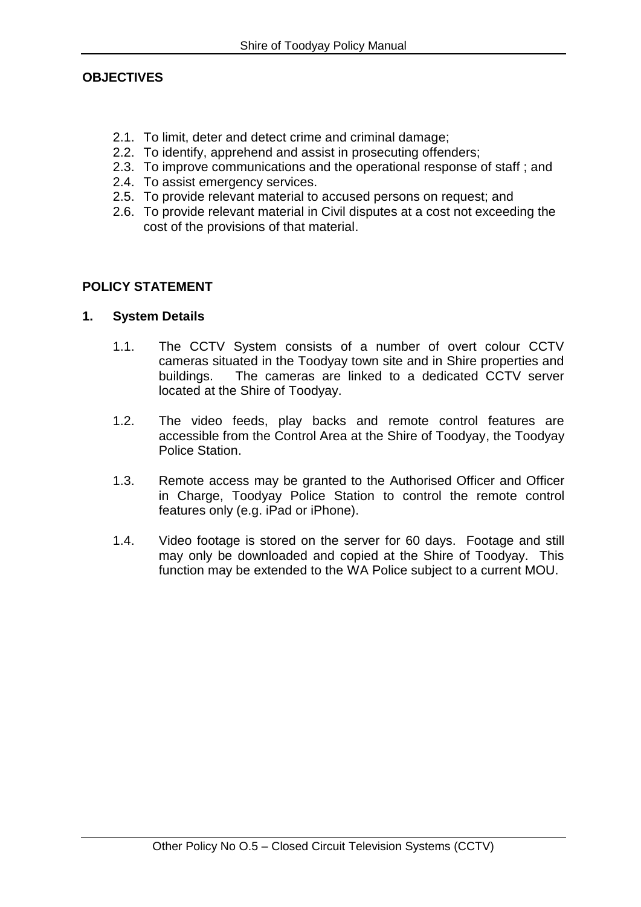# **OBJECTIVES**

- 2.1. To limit, deter and detect crime and criminal damage;
- 2.2. To identify, apprehend and assist in prosecuting offenders;
- 2.3. To improve communications and the operational response of staff ; and
- 2.4. To assist emergency services.
- 2.5. To provide relevant material to accused persons on request; and
- 2.6. To provide relevant material in Civil disputes at a cost not exceeding the cost of the provisions of that material.

## **POLICY STATEMENT**

#### **1. System Details**

- 1.1. The CCTV System consists of a number of overt colour CCTV cameras situated in the Toodyay town site and in Shire properties and buildings. The cameras are linked to a dedicated CCTV server located at the Shire of Toodyay.
- 1.2. The video feeds, play backs and remote control features are accessible from the Control Area at the Shire of Toodyay, the Toodyay Police Station.
- 1.3. Remote access may be granted to the Authorised Officer and Officer in Charge, Toodyay Police Station to control the remote control features only (e.g. iPad or iPhone).
- 1.4. Video footage is stored on the server for 60 days. Footage and still may only be downloaded and copied at the Shire of Toodyay. This function may be extended to the WA Police subject to a current MOU.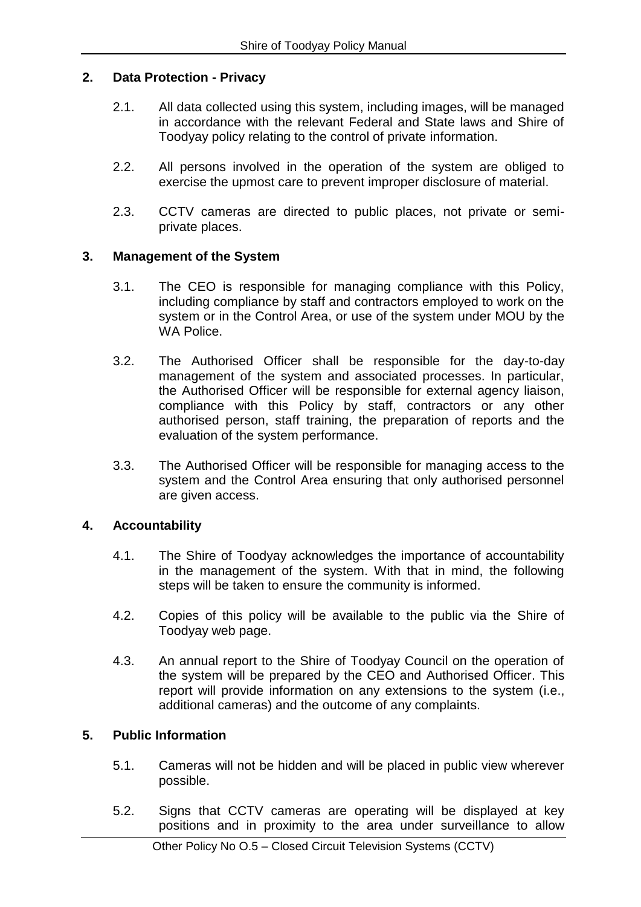## **2. Data Protection - Privacy**

- 2.1. All data collected using this system, including images, will be managed in accordance with the relevant Federal and State laws and Shire of Toodyay policy relating to the control of private information.
- 2.2. All persons involved in the operation of the system are obliged to exercise the upmost care to prevent improper disclosure of material.
- 2.3. CCTV cameras are directed to public places, not private or semiprivate places.

# **3. Management of the System**

- 3.1. The CEO is responsible for managing compliance with this Policy, including compliance by staff and contractors employed to work on the system or in the Control Area, or use of the system under MOU by the WA Police.
- 3.2. The Authorised Officer shall be responsible for the day-to-day management of the system and associated processes. In particular, the Authorised Officer will be responsible for external agency liaison, compliance with this Policy by staff, contractors or any other authorised person, staff training, the preparation of reports and the evaluation of the system performance.
- 3.3. The Authorised Officer will be responsible for managing access to the system and the Control Area ensuring that only authorised personnel are given access.

## **4. Accountability**

- 4.1. The Shire of Toodyay acknowledges the importance of accountability in the management of the system. With that in mind, the following steps will be taken to ensure the community is informed.
- 4.2. Copies of this policy will be available to the public via the Shire of Toodyay web page.
- 4.3. An annual report to the Shire of Toodyay Council on the operation of the system will be prepared by the CEO and Authorised Officer. This report will provide information on any extensions to the system (i.e., additional cameras) and the outcome of any complaints.

## **5. Public Information**

- 5.1. Cameras will not be hidden and will be placed in public view wherever possible.
- 5.2. Signs that CCTV cameras are operating will be displayed at key positions and in proximity to the area under surveillance to allow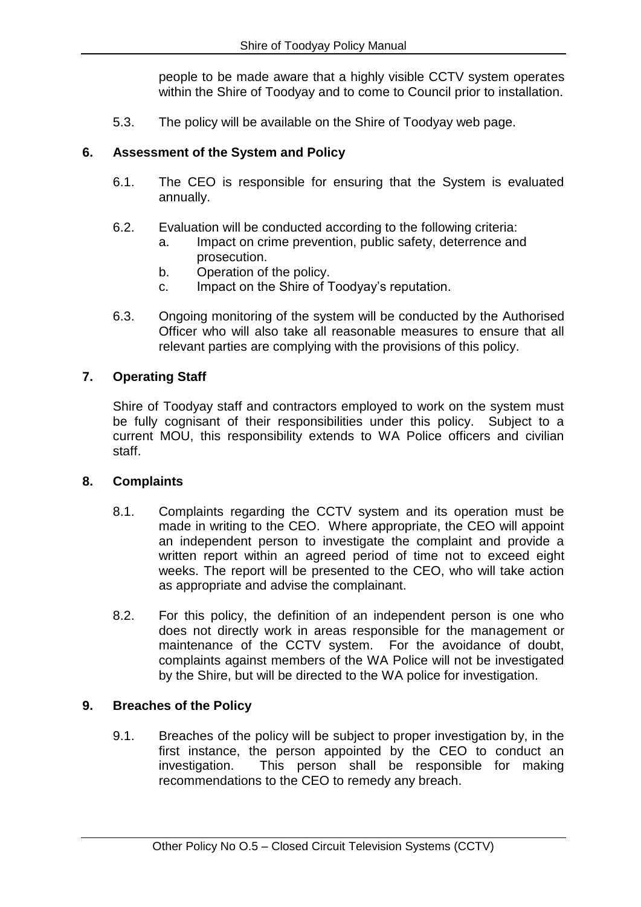people to be made aware that a highly visible CCTV system operates within the Shire of Toodyay and to come to Council prior to installation.

5.3. The policy will be available on the Shire of Toodyay web page.

# **6. Assessment of the System and Policy**

- 6.1. The CEO is responsible for ensuring that the System is evaluated annually.
- 6.2. Evaluation will be conducted according to the following criteria:
	- a. Impact on crime prevention, public safety, deterrence and prosecution.
	- b. Operation of the policy.
	- c. Impact on the Shire of Toodyay's reputation.
- 6.3. Ongoing monitoring of the system will be conducted by the Authorised Officer who will also take all reasonable measures to ensure that all relevant parties are complying with the provisions of this policy.

# **7. Operating Staff**

Shire of Toodyay staff and contractors employed to work on the system must be fully cognisant of their responsibilities under this policy. Subject to a current MOU, this responsibility extends to WA Police officers and civilian staff.

## **8. Complaints**

- 8.1. Complaints regarding the CCTV system and its operation must be made in writing to the CEO. Where appropriate, the CEO will appoint an independent person to investigate the complaint and provide a written report within an agreed period of time not to exceed eight weeks. The report will be presented to the CEO, who will take action as appropriate and advise the complainant.
- 8.2. For this policy, the definition of an independent person is one who does not directly work in areas responsible for the management or maintenance of the CCTV system. For the avoidance of doubt, complaints against members of the WA Police will not be investigated by the Shire, but will be directed to the WA police for investigation.

## **9. Breaches of the Policy**

9.1. Breaches of the policy will be subject to proper investigation by, in the first instance, the person appointed by the CEO to conduct an investigation. This person shall be responsible for making recommendations to the CEO to remedy any breach.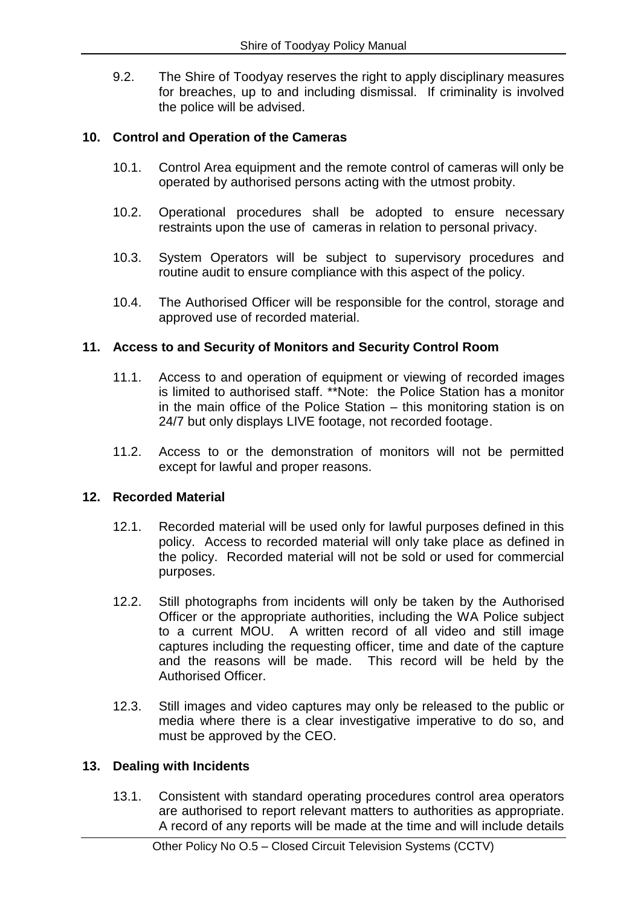9.2. The Shire of Toodyay reserves the right to apply disciplinary measures for breaches, up to and including dismissal. If criminality is involved the police will be advised.

## **10. Control and Operation of the Cameras**

- 10.1. Control Area equipment and the remote control of cameras will only be operated by authorised persons acting with the utmost probity.
- 10.2. Operational procedures shall be adopted to ensure necessary restraints upon the use of cameras in relation to personal privacy.
- 10.3. System Operators will be subject to supervisory procedures and routine audit to ensure compliance with this aspect of the policy.
- 10.4. The Authorised Officer will be responsible for the control, storage and approved use of recorded material.

## **11. Access to and Security of Monitors and Security Control Room**

- 11.1. Access to and operation of equipment or viewing of recorded images is limited to authorised staff. \*\*Note: the Police Station has a monitor in the main office of the Police Station – this monitoring station is on 24/7 but only displays LIVE footage, not recorded footage.
- 11.2. Access to or the demonstration of monitors will not be permitted except for lawful and proper reasons.

## **12. Recorded Material**

- 12.1. Recorded material will be used only for lawful purposes defined in this policy. Access to recorded material will only take place as defined in the policy. Recorded material will not be sold or used for commercial purposes.
- 12.2. Still photographs from incidents will only be taken by the Authorised Officer or the appropriate authorities, including the WA Police subject to a current MOU. A written record of all video and still image captures including the requesting officer, time and date of the capture and the reasons will be made. This record will be held by the Authorised Officer.
- 12.3. Still images and video captures may only be released to the public or media where there is a clear investigative imperative to do so, and must be approved by the CEO.

## **13. Dealing with Incidents**

13.1. Consistent with standard operating procedures control area operators are authorised to report relevant matters to authorities as appropriate. A record of any reports will be made at the time and will include details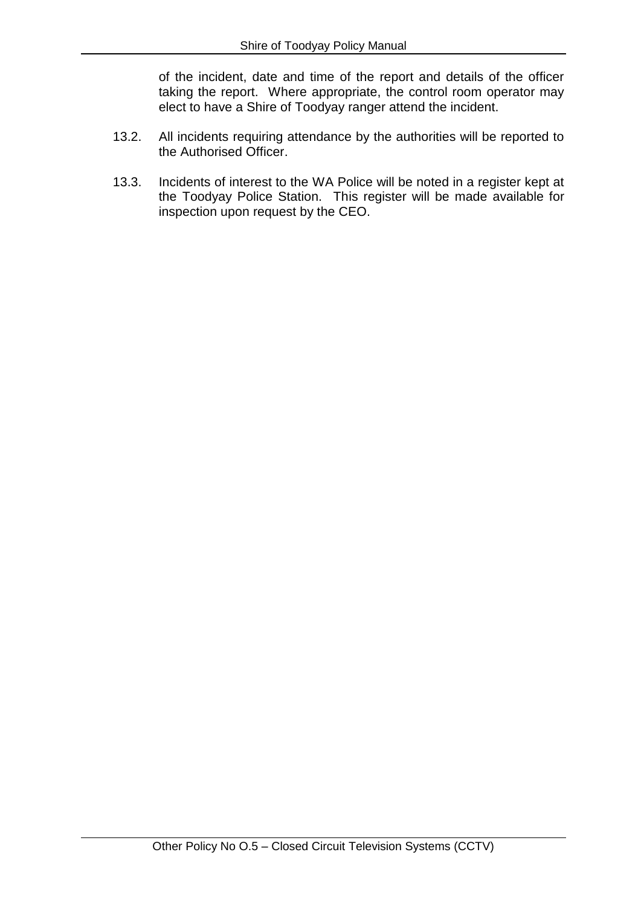of the incident, date and time of the report and details of the officer taking the report. Where appropriate, the control room operator may elect to have a Shire of Toodyay ranger attend the incident.

- 13.2. All incidents requiring attendance by the authorities will be reported to the Authorised Officer.
- 13.3. Incidents of interest to the WA Police will be noted in a register kept at the Toodyay Police Station. This register will be made available for inspection upon request by the CEO.